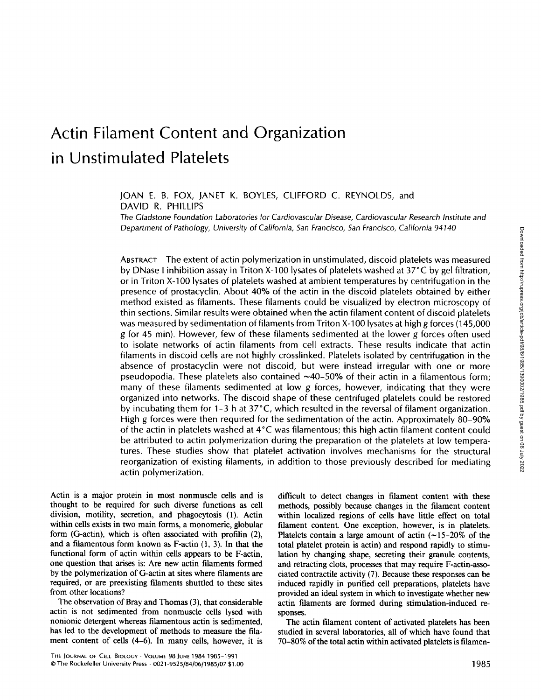# Actin Filament Content and Organization in Unstimulated Platelets

JOAN E. B. FOX, JANET K. BOYLES, CLIFFORD C. REYNOLDS, and DAVID R. PHILLIPS

The Gladstone Foundation Laboratories for Cardiovascular Disease, Cardiovascular Research Institute and Department of Pathology, University of California, San Francisco, San Francisco, California 94140

ABSTRACT The extent of actin polymerization in unstimulated, discoid platelets was measured by DNase <sup>I</sup> inhibition assay in Triton X-100 lysates of platelets washed at 37°C by gel filtration, or in Triton X-100 lysates of platelets washed at ambient temperatures by centrifugation in the presence of prostacyclin . About 40% of the actin in the discoid platelets obtained by either method existed as filaments . These filaments could be visualized by electron microscopy of thin sections . Similar results were obtained when the actin filament content of discoid platelets was measured by sedimentation of filaments from Triton X-100 lysates at high g forces (145,000 g for 45 min) . However, few of these filaments sedimented at the lower g forces often used to isolate networks of actin filaments from cell extracts. These results indicate that actin filaments in discoid cells are not highly crosslinked. Platelets isolated by centrifugation in the absence of prostacyclin were not discoid, but were instead irregular with one or more pseudopodia. These platelets also contained  $\sim$ 40-50% of their actin in a filamentous form; many of these filaments sedimented at low  $g$  forces, however, indicating that they were organized into networks. The discoid shape of these centrifuged platelets could be restored by incubating them for 1-3 h at 37°C, which resulted in the reversal of filament organization. High g forces were then required for the sedimentation of the actin. Approximately 80-90% of the actin in platelets washed at 4°C was filamentous ; this high actin filament content could be attributed to actin polymerization during the preparation of the platelets at low temperatures. These studies show that platelet activation involves mechanisms for the structural reorganization of existing filaments, in addition to those previously described for mediating actin polymerization.

Actin is a major protein in most nonmuscle cells and is thought to be required for such diverse functions as cell division, motility, secretion, and phagocytosis (1) . Actin within cells exists in two main forms, a monomeric, globular form (G-actin), which is often associated with profilin (2), and a filamentous form known as  $F\text{-actin}$   $(1, 3)$ . In that the functional form of actin within cells appears to be F-actin, one question that arises is : Are new actin filaments formed by the polymerization of G-actin at sites where filaments are required, or are preexisting filaments shuttled to these sites from other locations?

The observation of Bray and Thomas (3), that considerable actin is not sedimented from nonmuscle cells lysed with nonionic detergent whereas filamentous actin is sedimented, has led to the development of methods to measure the filament content of cells (4-6). In many cells, however, it is difficult to detect changes in filament content with these methods, possibly because changes in the filament content within localized regions of cells have little effect on total filament content. One exception, however, is in platelets. Platelets contain a large amount of actin  $(-15-20\%$  of the total platelet protein is actin) and respond rapidly to stimulation by changing shape, secreting their granule contents, and retracting clots, processes that may require F-actin-associated contractile activity (7) . Because these responses can be induced rapidly in purified cell preparations, platelets have provided an ideal system in which to investigate whether new actin filaments are formed during stimulation-induced responses.

The actin filament content of activated platelets has been studied in several laboratories, all of which have found that 70-80% of the total actin within activated platelets is filamen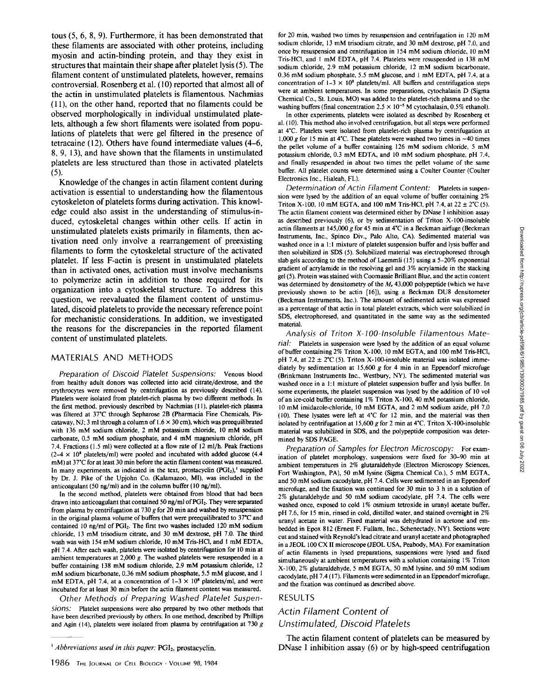tous (5, 6, 8, 9) . Furthermore, it has been demonstrated that these filaments are associated with other proteins, including myosin and actin-binding protein, and thay they exist in structures that maintain their shape after platelet lysis (5) . The filament content of unstimulated platelets, however, remains controversial . Rosenberg et al . (10) reported that almost all of the actin in unstimulated platelets is filamentous . Nachmias (11), on the other hand, reported that no filaments could be observed morphologically in individual unstimulated platelets, although a few short filaments were isolated from populations of platelets that were gel filtered in the presence of tetracaine (12) . Others have found intermediate values (4-6, 8, 9, 13), and have shown that the filaments in unstimulated platelets are less structured than those in activated platelets  $(5)$ .

Knowledge of the changes in actin filament content during activation is essential to understanding how the filamentous cytoskeleton of platelets forms during activation . This knowledge could also assist in the understanding of stimulus-induced, cytoskeletal changes within other cells. If actin in unstimulated platelets exists primarily in filaments, then activation need only involve a rearrangement of preexisting filaments to form the cytoskeletal structure of the activated platelet. If less F-actin is present in unstimulated platelets than in activated ones, activation must involve mechanisms to polymerize actin in addition to those required for its organization into a cytoskeletal structure. To address this question, we reevaluated the filament content of unstimulated, discoid platelets to provide the necessary reference point for mechanistic considerations. In addition, we investigated the reasons for the discrepancies in the reported filament content of unstimulated platelets.

### MATERIALS AND METHODS

Preparation of Discoid Platelet Suspensions: venous blood from healthy adult donors was collected into acid citrate/dextrose, and the erythrocytes were removed by centrifugation as previously described (14). Platelets were isolated from platelet-rich plasma by two different methods. In the first method, previously described by Nachmias (11), platelet-rich plasma was filtered at 37°C through Sepharose 2B (Pharmacia Fine Chemicals, Piscataway, NJ; 3 ml through a column of  $1.6 \times 30$  cm), which was preequilibrated with <sup>136</sup> mM sodium chloride, <sup>2</sup> mM potassium chloride, <sup>10</sup> mM sodium carbonate, 0.5 mM sodium phosphate, and <sup>4</sup> mM magnesium chloride, pH 7 .4. Fractions (1 .5 ml) were collected at a flow rate of 12 ml/h . Peak fractions  $(2-4 \times 10^8 \text{ platelets/ml})$  were pooled and incubated with added glucose (4.4 mM) at 37°C for at least 30 min before the actin filament content was measured. In many experiments, as indicated in the text, prostacyclin  $(PGI<sub>2</sub>)$ ,<sup>1</sup> supplied by Dr. J. Pike of the Upjohn Co. (Kalamazoo, MI), was included in the anticoagulant (50 ng/ml) and in the column buffer (10 ng/ml).

In the second method, platelets were obtained from blood that had been drawn into anticoagulant that contained 50 ng/ml of PGI2. They were separated from plasma by centrifugation at 730 g for 20 min and washed by resuspension in the original plasma volume of buffers that were preequilibrated to 37°C and contained 10 ng/ml of PGI<sub>2</sub>. The first two washes included 120 mM sodium chloride, <sup>13</sup> mM trisodium citrate, and <sup>30</sup> mM dextrose, pH 7.0 . The third wash was with <sup>154</sup> mM sodium chloride, <sup>10</sup> mM Tris-HCI, and <sup>I</sup> mM EDTA, pH <sup>7</sup> .4 . After each wash, platelets were isolated by centrifugation for 10 min at ambient temperatures at  $2,000$  g. The washed platelets were resuspended in a buffer containing <sup>138</sup> mM sodium chloride, 2.9 mM potassium chloride, <sup>12</sup> mM sodium bicarbonate, 0.36 mM sodium phosphate, 5.5 mM glucose, and 1 mM EDTA, pH 7.4, at a concentration of  $1-3 \times 10^8$  platelets/ml, and were incubated for at least 30 min before the actin filament content was measured.

Other Methods of Preparing Washed Platelet Suspensions: Platelet suspensions were also prepared by two other methods that have been described previously by others. In one method, described by Phillips and Agin (14), platelets were isolated from plasma by centrifugation at 730  $g$ 

for <sup>20</sup> min, washed two times by resuspension and centrifugation in <sup>120</sup> mM sodium chloride, <sup>13</sup> mM trisodium citrate, and <sup>30</sup> mM dextrose, pH <sup>7</sup> .0, and once by resuspension and centrifugation in <sup>154</sup> mM sodium chloride, <sup>10</sup> mM Tris-HCl, and 1 mM EDTA, pH 7.4. Platelets were resuspended in 138 mM sodium chloride, 2.9 mM potassium chloride, 12 mM sodium bicarbonate, 0.36 mM sodium phosphate, 5.5 mM glucose, and 1 mM EDTA, pH 7.4, at a concentration of  $1-3 \times 10^8$  platelets/ml. All buffers and centrifugation steps were at ambient temperatures. In some preparations, cytochalasin D (Sigma Chemical Co., St. Louis, MO) was added to the platelet-rich plasma and to the washing buffers (final concentration  $2.5 \times 10^{-5}$  M cytochalasin, 0.5% ethanol).

In other experiments, platelets were isolated as described by Rosenberg et al. (10). This method also involved centrifugation, but all steps were performed at 4°C. Platelets were isolated from platelet-rich plasma by centrifugation at 1,000 g for 15 min at 4°C. These platelets were washed two times in  $\sim$ 40 times the pellet volume of <sup>a</sup> buffer containing <sup>126</sup> mM sodium chloride, <sup>5</sup> mM potassium chloride, 0.3 mM EDTA, and 10 mM sodium phosphate, pH 7.4, and finally resuspended in about two times the pellet volume of the same buffer. All platelet counts were determined using a Coulter Counter (Coulter Electronics Inc., Hialeah, FL).

Determination of Actin Filament Content: Platelets in suspension were lysed by the addition of an equal volume of buffer containing 2% Triton X-100, 10 mM EGTA, and 100 mM Tris-HCl, pH 7.4, at  $22 \pm 2^{\circ}$ C (5). The actin filament content was determined either by DNase <sup>I</sup> inhibition assay as described previously (6), or by sedimentation of Triton X-100-insoluble actin filaments at 145,000 g for 45 min at  $4^{\circ}$ C in a Beckman airfuge (Beckman Instruments, Inc., Spinco Div., Palo Alto, CA). Sedimented material was washed once in a 1:1 mixture of platelet suspension buffer and lysis buffer and then solubilized in SDS (5). Solubilized material was electrophoresed through slab gels according to the method of Laemmli (15) using a 5-20% exponential gradient of acrylamide in the resolving gel and 3% acrylamide in the stacking gel (5). Protein was stained with Coomassie Brilliant Blue, and the actin content was determined by densitometry of the  $M_r$  43,000 polypeptide (which we have previously shown to be actin [16]), using <sup>a</sup> Beckman DU8 densitometer (Beckman Instruments, Inc.). The amount of sedimented actin was expressed as a percentage of that actin in total platelet extracts, which were solubilized in SDS, electrophoresed, and quantitated in the same way as the sedimented material.

Analysis of Triton X-100-insoluble Filamentous Material: Platelets in suspension were lysed by the addition of an equal volume of buffer containing 2% Triton X-100, <sup>10</sup> mM EGTA, and <sup>100</sup> mM Tris-HCI, pH 7.4, at  $22 \pm 2^{\circ}$ C (5). Triton X-100-insoluble material was isolated immediately by sedimentation at  $15,600$  g for 4 min in an Eppendorf microfuge (Brinkmann Instruments Inc., Westbury, NY). The sedimented material was washed once in a 1:1 mixture of platelet suspension buffer and lysis buffer. In some experiments, the platelet suspension was lysed by the addition of <sup>10</sup> vol of an ice-cold buffer containing 1% Triton X-100, 40 mM potassium chloride, <sup>10</sup> mM imidazole-chloride, <sup>10</sup> mM EGTA, and <sup>2</sup> mM sodium azide, pH <sup>7</sup> .0 (10) . These lysates were left at 4°C for 12 min, and the material was then isolated by centrifugation at 15,600 g for 2 min at 4°C. Triton X-100-insoluble material was solubilized in SDS, and the polypeptide composition was determined by SDS PAGE.

Preparation of Samples for Electron Microscopy: For examination of platelet morphology, suspensions were fixed for 30-90 min at ambient temperatures in 2% glutaraldehyde (Electron Microscopy Sciences, Fort Washington, PA), <sup>50</sup> mM lysine (Sigma Chemical Co.), <sup>5</sup> mM EGTA, and <sup>50</sup> mM sodium cacodylate, pH <sup>7</sup> .4. Cells were sedimented in an Eppendorf microfuge, and the fixation was continued for 30 min to 3 h in a solution of 2% glutaraldehyde and <sup>50</sup> mM sodium cacodylate, pH <sup>7</sup> .4 . The cells were washed once, exposed to cold 1% osmium tetroxide in uranyl acetate buffer, pH <sup>7</sup> .6, for <sup>15</sup> min, rinsed in cold, distilled water, and stained overnight in 2% uranyl acetate in water. Fixed material was dehydrated in acetone and embedded in Epox 812 (Ernest F. Fullam, Inc., Schenectady, NY). Sections were cut and stained with Reynold's lead citrate anduranyl acetate and photographed in <sup>a</sup> JEOL <sup>100</sup> CX lI microscope (JEOL USA, Peabody, MA). For examination of actin filaments in lysed preparations, suspensions were lysed and fixed simultaneously at ambient temperatures with a solution containing 1% Triton X-100, 2% glutaraldehyde, <sup>5</sup> mM EGTA, <sup>50</sup> mM lysine, and <sup>50</sup> mM sodium cacodylate, pH 7.4 (17). Filaments were sedimented in an Eppendorf microfuge, and the fixation was continued as described above.

## RESULTS

## Actin Filament Content of Unstimulated, Discoid Platelets

The actin filament content of platelets can be measured by DNase <sup>I</sup> inhibition assay (6) or by high-speed centrifugation

 $<sup>1</sup> Abbreviations used in this paper:  $PGI_2$ , prostacyclin.$ </sup>

<sup>1986</sup> THE JOURNAL OF CELL BIOLOGY · VOLUME 98, 1984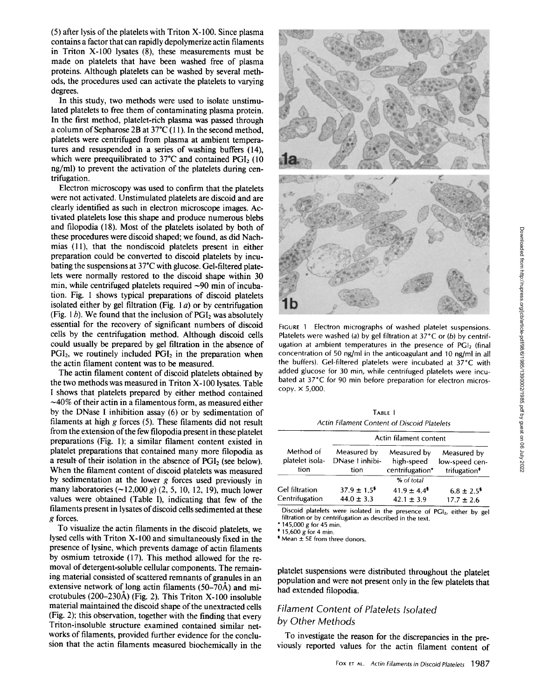$(5)$  after lysis of the platelets with Triton X-100. Since plasma contains a factor that can rapidly depolymerize actin filaments in Triton X-100 lysates (8), these measurements must be made on platelets that have been washed free of plasma proteins . Although platelets can be washed by several methods, the procedures used can activate the platelets to varying degrees.

In this study, two methods were used to isolate unstimulated platelets to free them of contaminating plasma protein. In the first method, platelet-rich plasma was passed through a column of Sepharose 2B at  $37^{\circ}C(11)$ . In the second method, platelets were centrifuged from plasma at ambient temperatures and resuspended in a series of washing buffers (14), which were preequilibrated to  $37^{\circ}$ C and contained PGI<sub>2</sub> (10) ng/ml) to prevent the activation of the platelets during centrifugation.

Electron microscopy was used to confirm that the platelets were not activated. Unstimulated platelets are discoid and are clearly identified as such in electron microscope images . Activated platelets lose this shape and produce numerous blebs and filopodia (18) . Most of the platelets isolated by both of these procedures were discoid shaped; we found, as did Nachmias (11), that the nondiscoid platelets present in either preparation could be converted to discoid platelets by incubating the suspensions at 37'C with glucose . Gel-filtered platelets were normally restored to the discoid shape within 30 min, while centrifuged platelets required  $\sim$ 90 min of incubation. Fig. 1 shows typical preparations of discoid platelets isolated either by gel filtration (Fig.  $1a$ ) or by centrifugation (Fig. 1b). We found that the inclusion of  $PGI<sub>2</sub>$  was absolutely essential for the recovery of significant numbers of discoid cells by the centrifugation method. Although discoid cells could usually be prepared by gel filtration in the absence of  $PGI<sub>2</sub>$ , we routinely included  $PGI<sub>2</sub>$  in the preparation when the actin filament content was to be measured.

The actin filament content of discoid platelets obtained by the two methods was measured in Triton X-100 lysates. Table <sup>I</sup> shows that platelets prepared by either method contained  $\sim$ 40% of their actin in a filamentous form, as measured either by the DNase <sup>I</sup> inhibition assay (6) or by sedimentation of filaments at high  $g$  forces (5). These filaments did not result from the extension of the few filopodia present in these platelet preparations (Fig. 1); a similar filament content existed in platelet preparations that contained many more filopodia as a result of their isolation in the absence of PGI<sub>2</sub> (see below). When the filament content of discoid platelets was measured. by sedimentation at the lower  $g$  forces used previously in many laboratories  $(\sim 12,000 \text{ g})$  (2, 5, 10, 12, 19), much lower values were obtained (Table I), indicating that few of the filaments present in lysates of discoid cells sedimented at these g forces. 416 by the DNase I inhibition assay (6) or by sedimentation of<br>
by the DNase I inhibition assay (6) or by sedimentation of<br>
filament Content of Discoid Platelets<br>
from the extension of the filement Content of Discoid Plat

To visualize the actin filaments in the discoid platelets, we lysed cells with Triton X-100 and simultaneously fixed in the presence of lysine, which prevents damage of actin filaments by osmium tetroxide (17) . This method allowed for the removal of detergent-soluble cellular components. The remaining material consisted of scattered remnants of granules in an extensive network of long actin filaments  $(50-70\text{\AA})$  and microtubules (200-230Å) (Fig. 2). This Triton X-100 insoluble material maintained the discoid shape of the unextracted cells (Fig. 2); this observation, together with the finding that every Triton-insoluble structure examined contained similar networks of filaments, provided further evidence for the conclusion that the actin filaments measured biochemically in the



FIGURE 1 Electron micrographs of washed platelet suspensions. Platelets were washed (a) by gel filtration at  $37^{\circ}$ C or (b) by centrifugation at ambient temperatures in the presence of  $PGI<sub>2</sub>$  (final concentration of 50 ng/ml in the anticoagulant and 10 ng/ml in all the buffers). Gel-filtered platelets were incubated at 37°C with added glucose for 30 min, while centrifuged platelets were incubated at 37°C for 90 min before preparation for electron microscopy. x 5,000.

TABLE <sup>I</sup> Actin Filament Content of Discoid Platelets

| Method of<br>platelet isola-<br>tion    | Actin filament content                         |                                              |                                                           |  |
|-----------------------------------------|------------------------------------------------|----------------------------------------------|-----------------------------------------------------------|--|
|                                         | Measured by<br>DNase I inhibi-<br>tion         | Measured by<br>high-speed<br>centrifugation* | Measured by<br>low-speed cen-<br>trifugation <sup>*</sup> |  |
|                                         |                                                | % of total                                   |                                                           |  |
| <b>Gel filtration</b><br>Centrifugation | $37.9 \pm 1.5^{\frac{2}{3}}$<br>$44.0 \pm 3.3$ | $41.9 \pm 4.4^{\circ}$<br>$42.1 \pm 3.9$     | $6.8 \pm 2.5^{\frac{2}{3}}$<br>$17.7 \pm 2.6$             |  |

Discoid platelets were isolated in the presence of PGI<sub>2</sub>, either by gel filtration or by centrifugation as described in the text.

145,000 g for 45 min.

 $+ 15,600$  g for 4 min.

' Mean ± SE from three donors.

platelet suspensions were distributed throughout the platelet population and were not present only in the few platelets that had extended filopodia.

## Filament Content of Platelets Isolated by Other Methods

To investigate the reason for the discrepancies in the pre viously reported values for the actin filament content of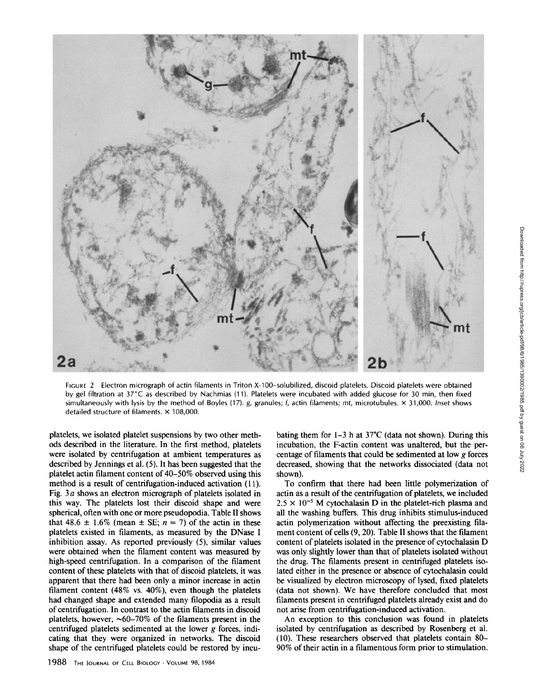

FIGURE 2 Electron micrograph of actin filaments in Triton X-100-solubilized, discoid platelets. Discoid platelets were obtained by gel filtration at 37°C as described by Nachmias (11) . Platelets were incubated with added glucose for 30 min, then fixed simultaneously with lysis by the method of Boyles (17).  $g$ , granules;  $f$ , actin filaments; mt, microtubules.  $\times$  31,000. Inset shows detailed structure of filaments,  $\times$  108,000.

platelets, we isolated platelet suspensions by two other methods described in the literature . In the first method, platelets were isolated by centrifugation at ambient temperatures as described by Jennings et al. (5) . It has been suggested that the platelet actin filament content of 40-50% observed using this method is a result of centrifugation-induced activation (11). Fig. 3 $a$  shows an electron micrograph of platelets isolated in this way. The platelets lost their discoid shape and were spherical, often with one or more pseudopodia. Table II shows that 48.6  $\pm$  1.6% (mean  $\pm$  SE;  $n = 7$ ) of the actin in these platelets existed in filaments, as measured by the DNase <sup>I</sup> inhibition assay. As reported previously (5), similar values were obtained when the filament content was measured by high-speed centrifugation. In a comparison of the filament content of these platelets with that of discoid platelets, it was apparent that there had been only a minor increase in actin filament content  $(48\% \text{ vs. } 40\%)$ , even though the platelets had changed shape and extended many filopodia as a result of centrifugation. In contrast to the actin filaments in discoid platelets, however,  $\sim 60-70\%$  of the filaments present in the centrifuged platelets sedimented at the lower  $g$  forces, indicating that they were organized in networks . The discoid shape of the centrifuged platelets could be restored by incubating them for  $1-3$  h at  $37^{\circ}$ C (data not shown). During this incubation, the F-actin content was unaltered, but the percentage of filaments that could be sedimented at low  $g$  forces decreased, showing that the networks dissociated (data not shown).

To confirm that there had been little polymerization of actin as a result of the centrifugation of platelets, we included  $2.5 \times 10^{-5}$  M cytochalasin D in the platelet-rich plasma and all the washing buffers. This drug inhibits stimulus-induced actin polymerization without affecting the preexisting filament content of cells (9, 20). Table II shows that the filament content of platelets isolated in the presence of cytochalasin D was only slightly lower than that of platelets isolated without the drug. The filaments present in centrifuged platelets isolated either in the presence or absence of cytochalasin could be visualized by electron microscopy of lysed, fixed platelets (data not shown). We have therefore concluded that most filaments present in centrifuged platelets already exist and do not arise from centrifugation-induced activation .

An exception to this conclusion was found in platelets isolated by centrifugation as described by Rosenberg et al. (10). These researchers observed that platelets contain 80- 90% of their actin in a filamentous form prior to stimulation.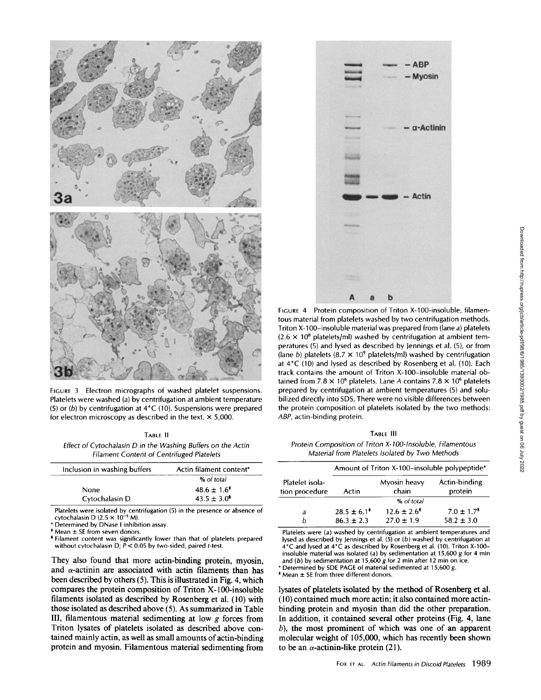

FIGURE 3 Electron micrographs of washed platelet suspensions. Platelets were washed (a) by centrifugation at ambient temperature (5) or (b) by centrifugation at  $4^{\circ}$ C (10). Suspensions were prepared for electron microscopy as described in the text.  $\times$  5,000.

TABLE II Effect of Cytochalasin D in the Washing Buffers on the Actin Filament Content of Centrifuged Platelets

| Inclusion in washing buffers | Actin filament content* |  |
|------------------------------|-------------------------|--|
|                              | % of total              |  |
| <b>None</b>                  | $48.6 \pm 1.6^*$        |  |
| Cytochalasin D               | $43.5 \pm 3.0^5$        |  |

Platelets were isolated by centrifugation (5) in the presence or absence of cytochalasin D (2.5  $\times$  10<sup>-5</sup> M).<br>\* Determined by DNase I inhibition assay.

\* Mean ± SE from seven donors.<br>\* Filament content was significantly lower than that of platelets prepared without cytochalasin D;  $\bar{P}$  < 0.05 by two-sided, paired t-test.

They also found that more actin-binding protein, myosin, and  $\alpha$ -actinin are associated with actin filaments than has been described by others (5). This is illustrated in Fig. 4, which compares the protein composition of Triton X-100-insoluble filaments isolated as described by Rosenberg et al. (10) with those isolated as described above (5) . As summarized in Table III, filamentous material sedimenting at low g forces from Triton lysates of platelets isolated as described above contained mainly actin, as well as small amounts of actin-binding protein and myosin. Filamentous material sedimenting from



FIGURE 4 Protein composition of Triton X-100-insoluble, filamentous material from platelets washed by two centrifugation methods. Triton X-100-insoluble material was prepared from (lane a) platelets  $(2.6 \times 10^8 \text{ platelets/ml})$  washed by centrifugation at ambient temperatures (5) and lysed as described by Jennings et al. (5), or from (lane b) platelets (8.7  $\times$  10<sup>9</sup> platelets/ml) washed by centrifugation at 4°C (10) and lysed as described by Rosenberg et al. (10). Each track contains the amount of Triton X-100-insoluble material obtained from 7.8  $\times$  10<sup>6</sup> platelets. Lane A contains 7.8  $\times$  10<sup>6</sup> platelets prepared by centrifugation at ambient temperatures (5) and solubilized directly into SDS. There were no visible differences between the protein composition of platelets isolated by the two methods: ABP, actin-binding protein.

TABLE III

Protein Composition of Triton X-100-Insoluble, Filamentous Material from Platelets Isolated by Two Methods

|                                   | Amount of Triton X-100-insoluble polypeptide* |                       |                            |  |
|-----------------------------------|-----------------------------------------------|-----------------------|----------------------------|--|
| Platelet isola-<br>tion procedure | Actin                                         | Myosin heavy<br>chain | Actin-binding<br>protein   |  |
|                                   |                                               | % of total            |                            |  |
| a                                 | $28.5 \pm 6.1^*$                              | $12.6 \pm 2.6^*$      | $7.0 \pm 1.7$ <sup>*</sup> |  |
| h                                 | $86.3 \pm 2.3$                                | $27.0 \pm 1.9$        | $58.2 \pm 3.0$             |  |

Platelets were (a) washed by centrifugation at ambient temperatures and lysed as described by Jennings et al.  $(5)$  or  $(b)$  washed by centrifugation at 4°C and lysed at 4°C as described by Rosenberg et al . (10) . Triton X-100 insoluble material was isolated (a) by sedimentation at 15,600 g for 4 min and (b) by sedimentation at 15,600  $g$  for 2 min after 12 min on ice.

\* Determined by SDE PAGE of material sedimented at 15,600 g.  $*$  Mean  $\pm$  SE from three different donors.

lysates of platelets isolated by the method of Rosenberg et al. (10) contained much more actin ; it also contained more actinbinding protein and myosin than did the other preparation. In addition, it contained several other proteins (Fig. 4, lane  $b$ ), the most prominent of which was one of an apparent molecular weight of 105,000, which has recently been shown to be an  $\alpha$ -actinin-like protein (21).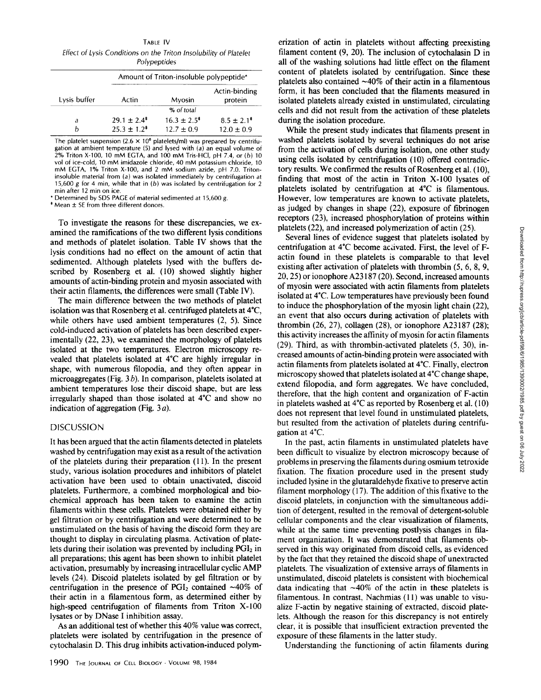TABLE IV Effect of Lysis Conditions on the Triton Insolubility of Platelet **Polypeptides** 

|              | Amount of Triton-insoluble polypeptide* |                                    |                                   |  |
|--------------|-----------------------------------------|------------------------------------|-----------------------------------|--|
| Lysis buffer | Actin                                   | Myosin                             | Actin-binding<br>protein          |  |
|              |                                         | % of total                         |                                   |  |
| а            | $29.1 \pm 2.4^*$<br>$25.3 \pm 1.2^*$    | $16.3 \pm 2.5^*$<br>$12.7 \pm 0.9$ | $8.5 \pm 2.1^*$<br>$12.0 \pm 0.9$ |  |

The platelet suspension (2.6  $\times$  10<sup>8</sup> platelets/ml) was prepared by centrifugation at ambient temperature (5) and lysed with (a) an equal volume of 2% Triton X-100, <sup>10</sup> mM EGTA, and <sup>100</sup> mM Tris-HCI, pH 7.4, or (b) <sup>10</sup> vol of ice-cold, <sup>10</sup> mM imidazole chloride, <sup>40</sup> mM potassium chloride, <sup>10</sup> mM EGTA, 1% Triton X-100, and <sup>2</sup> mM sodium azide, pH 7.0 Tritoninsoluble material from (a) was isolated immediately by centrifugation at 15,600 g for 4 min, while that in (b) was isolated by centrifugation for 2 min after 12 min on ice.

\* Determined by SDS PAGE of material sedimented at 15,600 g.

' Mean ± SE from three different donors .

To investigate the reasons for these discrepancies, we examined the ramifications of the two different lysis conditions and methods of platelet isolation. Table IV shows that the lysis conditions had no effect on the amount of actin that sedimented. Although platelets lysed with the buffers described by Rosenberg et al. (10) showed slightly higher amounts of actin-binding protein and myosin associated with their actin filaments, the differences were small (Table IV) .

The main difference between the two methods of platelet isolation was that Rosenberg et al. centrifuged platelets at 4°C, while others have used ambient temperatures  $(2, 5)$ . Since cold-induced activation of platelets has been described experimentally (22, 23), we examined the morphology of platelets isolated at the two temperatures. Electron microscopy revealed that platelets isolated at 4\*C are highly irregular in shape, with numerous filopodia, and they often appear in microaggregates (Fig.  $3 b$ ). In comparison, platelets isolated at ambient temperatures lose their discoid shape, but are less irregularly shaped than those isolated at 4\*C and show no indication of aggregation (Fig.  $3a$ ).

#### DISCUSSION

It has been argued that the actin filaments detected in platelets washed by centrifugation may exist as a result of the activation of the platelets during their preparation (11). In the present study, various isolation procedures and inhibitors of platelet activation have been used to obtain unactivated, discoid platelets. Furthermore, a combined morphological and biochemical approach has been taken to examine the actin filaments within these cells. Platelets were obtained either by gel filtration or by centrifugation and were determined to be unstimulated on the basis of having the discoid form they are thought to display in circulating plasma. Activation of platelets during their isolation was prevented by including  $PGI<sub>2</sub>$  in all preparations; this agent has been shown to inhibit platelet activation, presumably by increasing intracellular cyclic AMP levels (24) . Discoid platelets isolated by gel filtration or by centrifugation in the presence of  $PGI<sub>2</sub>$  contained  $\sim$ 40% of their actin in a filamentous form, as determined either by high-speed centrifugation of filaments from Triton X-100 lysates or by DNase <sup>I</sup> inhibition assay.

As an additional test of whether this 40% value was correct, platelets were isolated by centrifugation in the presence of cytochalasin D. This drug inhibits activation-induced polymerization of actin in platelets without affecting preexisting filament content (9, 20). The inclusion of cytochalasin D in all of the washing solutions had little effect on the filament content of platelets isolated by centrifugation. Since these platelets also contained  $~40\%$  of their actin in a filamentous form, it has been concluded that the filaments measured in isolated platelets already existed in unstimulated, circulating cells and did not result from the activation of these platelets during the isolation procedure.

While the present study indicates that filaments present in washed platelets isolated by several techniques do not arise from the activation of cells during isolation, one other study using cells isolated by centrifugation (10) offered contradictory results. We confirmed the results of Rosenberg et al. (10), finding that most of the actin in Triton X-100 lysates of platelets isolated by centrifugation at 4\*C is filamentous. However, low temperatures are known to activate platelets, as judged by changes in shape (22), exposure of fibrinogen receptors (23), increased phosphorylation of proteins within platelets (22), and increased polymerization of actin (25).

Several lines of evidence suggest that platelets isolated by centrifugation at 4°C become activated. First, the level of Factin found in these platelets is comparable to that level existing after activation of platelets with thrombin  $(5, 6, 8, 9, 1)$ 20, 25) or ionophore A23187 (20). Second, increased amounts of myosin were associated with actin filaments from platelets isolated at 4°C . Low temperatures have previously been found to induce the phosphorylation of the myosin light chain (22), an event that also occurs during activation of platelets with thrombin (26, 27), collagen (28), or ionophore A23187 (28); this activity increases the affinity of myosin for actin filaments (29) . Third, as with thrombin-activated platelets (5, 30), increased amounts of actin-binding protein were associated with actin filaments from platelets isolated at 4°C. Finally, electron microscopy showed that platelets isolated at 4\*C change shape, extend filopodia, and form aggregates. We have concluded, therefore, that the high content and organization of F-actin in platelets washed at  $4^{\circ}$ C as reported by Rosenberg et al. (10) does not represent that level found in unstimulated platelets, but resulted from the activation of platelets during centrifugation at 4°C.

In the past, actin filaments in unstimulated platelets have been difficult to visualize by electron microscopy because of problems in preserving the filaments during osmium tetroxide fixation. The fixation procedure used in the present study included lysine in the glutaraldehyde fixative to preserve actin filament morphology (17). The addition of this fixative to the discoid platelets, in conjunction with the simultaneous addition of detergent, resulted in the removal of detergent-soluble cellular components and the clear visualization of filaments, while at the same time preventing postlysis changes in filament organization. It was demonstrated that filaments observed in this way originated from discoid cells, as evidenced by the fact that they retained the discoid shape of unextracted platelets. The visualization of extensive arrays of filaments in unstimulated, discoid platelets is consistent with biochemical data indicating that  $\sim 40\%$  of the actin in these platelets is filamentous. In contrast, Nachmias (11) was unable to visualize F-actin by negative staining of extracted, discoid platelets. Although the reason for this discrepancy is not entirely clear, it is possible that insufficient extraction prevented the exposure of these filaments in the latter study.

Understanding the functioning of actin filaments during